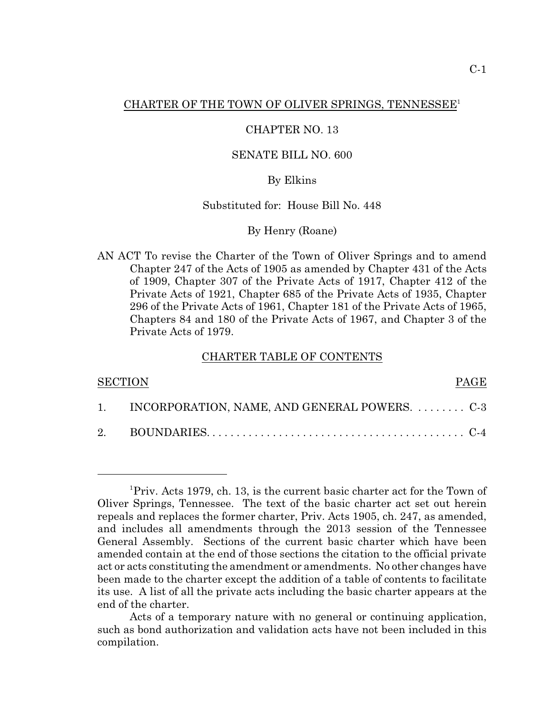### CHARTER OF THE TOWN OF OLIVER SPRINGS, TENNESSEE<sup>1</sup>

### CHAPTER NO. 13

## SENATE BILL NO. 600

## By Elkins

## Substituted for: House Bill No. 448

#### By Henry (Roane)

AN ACT To revise the Charter of the Town of Oliver Springs and to amend Chapter 247 of the Acts of 1905 as amended by Chapter 431 of the Acts of 1909, Chapter 307 of the Private Acts of 1917, Chapter 412 of the Private Acts of 1921, Chapter 685 of the Private Acts of 1935, Chapter 296 of the Private Acts of 1961, Chapter 181 of the Private Acts of 1965, Chapters 84 and 180 of the Private Acts of 1967, and Chapter 3 of the Private Acts of 1979.

#### CHARTER TABLE OF CONTENTS

| <b>SECTION</b> |                                                  | PAGE |
|----------------|--------------------------------------------------|------|
|                | 1. INCORPORATION, NAME, AND GENERAL POWERS.  C-3 |      |
|                |                                                  |      |

<sup>&</sup>lt;sup>1</sup>Priv. Acts 1979, ch. 13, is the current basic charter act for the Town of Oliver Springs, Tennessee. The text of the basic charter act set out herein repeals and replaces the former charter, Priv. Acts 1905, ch. 247, as amended, and includes all amendments through the 2013 session of the Tennessee General Assembly. Sections of the current basic charter which have been amended contain at the end of those sections the citation to the official private act or acts constituting the amendment or amendments. No other changes have been made to the charter except the addition of a table of contents to facilitate its use. A list of all the private acts including the basic charter appears at the end of the charter.

Acts of a temporary nature with no general or continuing application, such as bond authorization and validation acts have not been included in this compilation.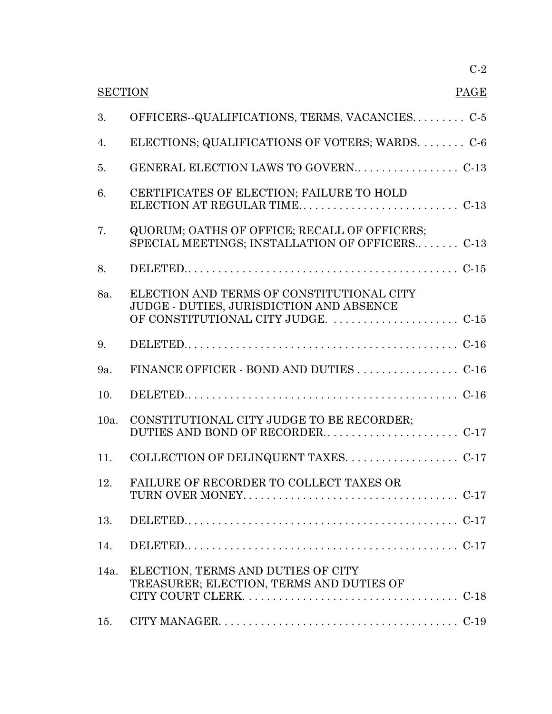|                        | $C-2$                                                                                               |  |
|------------------------|-----------------------------------------------------------------------------------------------------|--|
| <b>SECTION</b><br>PAGE |                                                                                                     |  |
| 3.                     | OFFICERS-QUALIFICATIONS, TERMS, VACANCIESC-5                                                        |  |
| 4.                     | ELECTIONS; QUALIFICATIONS OF VOTERS; WARDS.  C-6                                                    |  |
| 5.                     |                                                                                                     |  |
| 6.                     | CERTIFICATES OF ELECTION; FAILURE TO HOLD                                                           |  |
| 7.                     | QUORUM; OATHS OF OFFICE; RECALL OF OFFICERS;<br>SPECIAL MEETINGS; INSTALLATION OF OFFICERS C-13     |  |
| 8.                     |                                                                                                     |  |
| 8a.                    | ELECTION AND TERMS OF CONSTITUTIONAL CITY<br>JUDGE - DUTIES, JURISDICTION AND ABSENCE               |  |
| 9.                     |                                                                                                     |  |
| 9a.                    |                                                                                                     |  |
| 10.                    |                                                                                                     |  |
| $10a$ .                | CONSTITUTIONAL CITY JUDGE TO BE RECORDER;                                                           |  |
| 11.                    |                                                                                                     |  |
| 12.                    | FAILURE OF RECORDER TO COLLECT TAXES OR                                                             |  |
| 13.                    |                                                                                                     |  |
| 14.                    |                                                                                                     |  |
| 14a.                   | ELECTION, TERMS AND DUTIES OF CITY<br>TREASURER; ELECTION, TERMS AND DUTIES OF                      |  |
| 15.                    | CITY MANAGER. $\dots \dots \dots \dots \dots \dots \dots \dots \dots \dots \dots \dots \dots \dots$ |  |
|                        |                                                                                                     |  |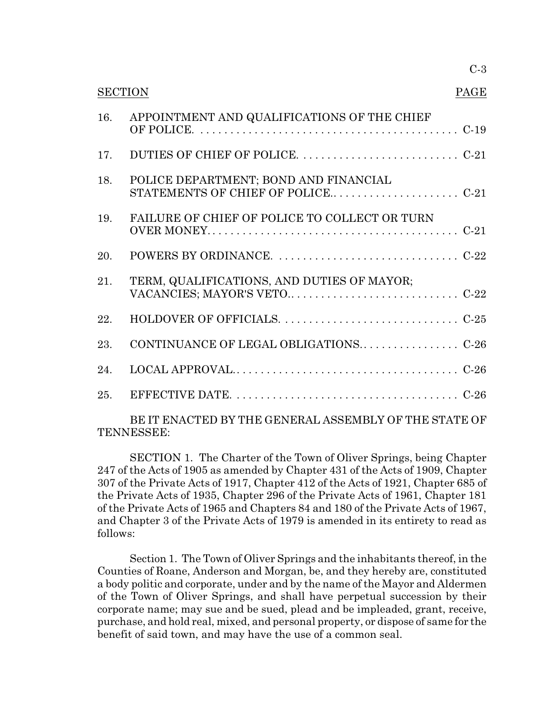| <b>SECTION</b><br>PAGE |                                                       |  |
|------------------------|-------------------------------------------------------|--|
| 16.                    | APPOINTMENT AND QUALIFICATIONS OF THE CHIEF           |  |
| 17.                    |                                                       |  |
| 18.                    | POLICE DEPARTMENT; BOND AND FINANCIAL                 |  |
| 19.                    | FAILURE OF CHIEF OF POLICE TO COLLECT OR TURN         |  |
| 20.                    |                                                       |  |
| 21.                    | TERM, QUALIFICATIONS, AND DUTIES OF MAYOR;            |  |
| 22.                    |                                                       |  |
| 23.                    |                                                       |  |
| 24.                    |                                                       |  |
| 25.                    |                                                       |  |
|                        | BE IT ENACTED BY THE GENERAL ASSEMBLY OF THE STATE OF |  |

TENNESSEE:

SECTION 1. The Charter of the Town of Oliver Springs, being Chapter 247 of the Acts of 1905 as amended by Chapter 431 of the Acts of 1909, Chapter 307 of the Private Acts of 1917, Chapter 412 of the Acts of 1921, Chapter 685 of the Private Acts of 1935, Chapter 296 of the Private Acts of 1961, Chapter 181 of the Private Acts of 1965 and Chapters 84 and 180 of the Private Acts of 1967, and Chapter 3 of the Private Acts of 1979 is amended in its entirety to read as follows:

Section 1. The Town of Oliver Springs and the inhabitants thereof, in the Counties of Roane, Anderson and Morgan, be, and they hereby are, constituted a body politic and corporate, under and by the name of the Mayor and Aldermen of the Town of Oliver Springs, and shall have perpetual succession by their corporate name; may sue and be sued, plead and be impleaded, grant, receive, purchase, and hold real, mixed, and personal property, or dispose of same for the benefit of said town, and may have the use of a common seal.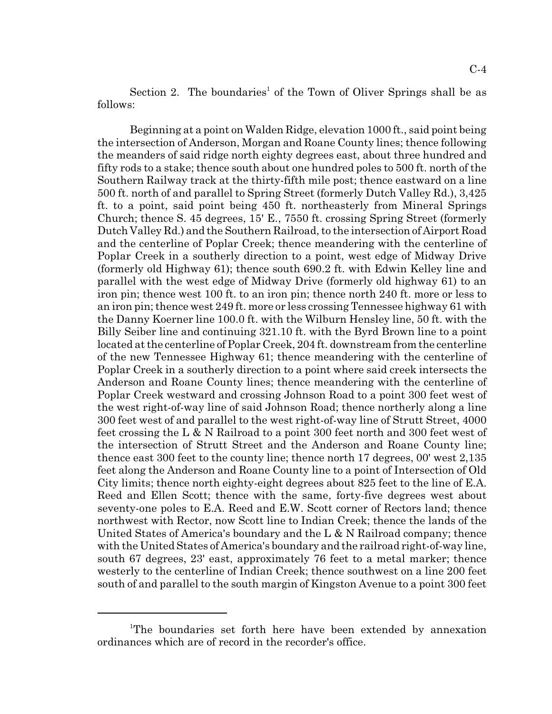Section 2. The boundaries<sup>1</sup> of the Town of Oliver Springs shall be as follows:

Beginning at a point on Walden Ridge, elevation 1000 ft., said point being the intersection of Anderson, Morgan and Roane County lines; thence following the meanders of said ridge north eighty degrees east, about three hundred and fifty rods to a stake; thence south about one hundred poles to 500 ft. north of the Southern Railway track at the thirty-fifth mile post; thence eastward on a line 500 ft. north of and parallel to Spring Street (formerly Dutch Valley Rd.), 3,425 ft. to a point, said point being 450 ft. northeasterly from Mineral Springs Church; thence S. 45 degrees, 15' E., 7550 ft. crossing Spring Street (formerly Dutch Valley Rd.) and the Southern Railroad, to the intersection of Airport Road and the centerline of Poplar Creek; thence meandering with the centerline of Poplar Creek in a southerly direction to a point, west edge of Midway Drive (formerly old Highway 61); thence south 690.2 ft. with Edwin Kelley line and parallel with the west edge of Midway Drive (formerly old highway 61) to an iron pin; thence west 100 ft. to an iron pin; thence north 240 ft. more or less to an iron pin; thence west 249 ft. more or less crossing Tennessee highway 61 with the Danny Koerner line 100.0 ft. with the Wilburn Hensley line, 50 ft. with the Billy Seiber line and continuing 321.10 ft. with the Byrd Brown line to a point located at the centerline of Poplar Creek, 204 ft. downstream from the centerline of the new Tennessee Highway 61; thence meandering with the centerline of Poplar Creek in a southerly direction to a point where said creek intersects the Anderson and Roane County lines; thence meandering with the centerline of Poplar Creek westward and crossing Johnson Road to a point 300 feet west of the west right-of-way line of said Johnson Road; thence northerly along a line 300 feet west of and parallel to the west right-of-way line of Strutt Street, 4000 feet crossing the L & N Railroad to a point 300 feet north and 300 feet west of the intersection of Strutt Street and the Anderson and Roane County line; thence east 300 feet to the county line; thence north 17 degrees, 00' west 2,135 feet along the Anderson and Roane County line to a point of Intersection of Old City limits; thence north eighty-eight degrees about 825 feet to the line of E.A. Reed and Ellen Scott; thence with the same, forty-five degrees west about seventy-one poles to E.A. Reed and E.W. Scott corner of Rectors land; thence northwest with Rector, now Scott line to Indian Creek; thence the lands of the United States of America's boundary and the L  $\&$  N Railroad company; thence with the United States of America's boundary and the railroad right-of-way line, south 67 degrees, 23' east, approximately 76 feet to a metal marker; thence westerly to the centerline of Indian Creek; thence southwest on a line 200 feet south of and parallel to the south margin of Kingston Avenue to a point 300 feet

<sup>&</sup>lt;sup>1</sup>The boundaries set forth here have been extended by annexation ordinances which are of record in the recorder's office.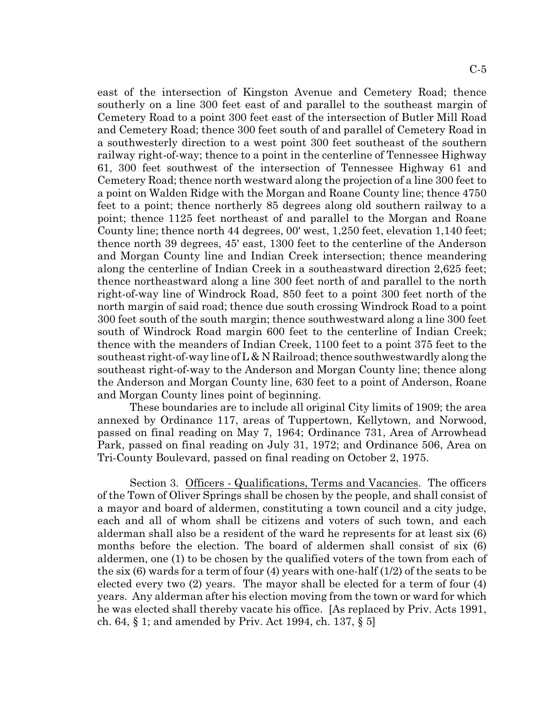east of the intersection of Kingston Avenue and Cemetery Road; thence southerly on a line 300 feet east of and parallel to the southeast margin of Cemetery Road to a point 300 feet east of the intersection of Butler Mill Road and Cemetery Road; thence 300 feet south of and parallel of Cemetery Road in a southwesterly direction to a west point 300 feet southeast of the southern railway right-of-way; thence to a point in the centerline of Tennessee Highway 61, 300 feet southwest of the intersection of Tennessee Highway 61 and Cemetery Road; thence north westward along the projection of a line 300 feet to a point on Walden Ridge with the Morgan and Roane County line; thence 4750 feet to a point; thence northerly 85 degrees along old southern railway to a point; thence 1125 feet northeast of and parallel to the Morgan and Roane County line; thence north 44 degrees, 00' west, 1,250 feet, elevation 1,140 feet; thence north 39 degrees, 45' east, 1300 feet to the centerline of the Anderson and Morgan County line and Indian Creek intersection; thence meandering along the centerline of Indian Creek in a southeastward direction 2,625 feet; thence northeastward along a line 300 feet north of and parallel to the north right-of-way line of Windrock Road, 850 feet to a point 300 feet north of the north margin of said road; thence due south crossing Windrock Road to a point 300 feet south of the south margin; thence southwestward along a line 300 feet south of Windrock Road margin 600 feet to the centerline of Indian Creek; thence with the meanders of Indian Creek, 1100 feet to a point 375 feet to the southeast right-of-way line of  $L \& N$  Railroad; thence southwestwardly along the southeast right-of-way to the Anderson and Morgan County line; thence along the Anderson and Morgan County line, 630 feet to a point of Anderson, Roane and Morgan County lines point of beginning.

These boundaries are to include all original City limits of 1909; the area annexed by Ordinance 117, areas of Tuppertown, Kellytown, and Norwood, passed on final reading on May 7, 1964; Ordinance 731, Area of Arrowhead Park, passed on final reading on July 31, 1972; and Ordinance 506, Area on Tri-County Boulevard, passed on final reading on October 2, 1975.

Section 3. Officers - Qualifications, Terms and Vacancies. The officers of the Town of Oliver Springs shall be chosen by the people, and shall consist of a mayor and board of aldermen, constituting a town council and a city judge, each and all of whom shall be citizens and voters of such town, and each alderman shall also be a resident of the ward he represents for at least six (6) months before the election. The board of aldermen shall consist of six (6) aldermen, one (1) to be chosen by the qualified voters of the town from each of the six (6) wards for a term of four (4) years with one-half (1/2) of the seats to be elected every two (2) years. The mayor shall be elected for a term of four (4) years. Any alderman after his election moving from the town or ward for which he was elected shall thereby vacate his office. [As replaced by Priv. Acts 1991, ch. 64, § 1; and amended by Priv. Act 1994, ch. 137, § 5]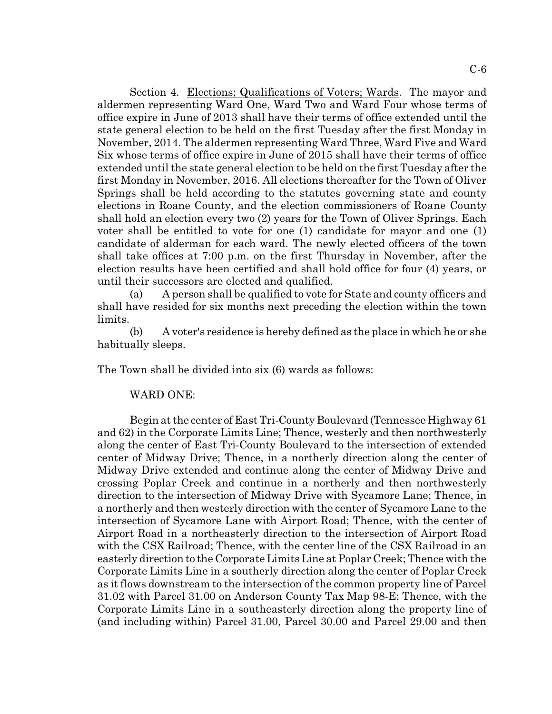Section 4. Elections; Qualifications of Voters; Wards. The mayor and aldermen representing Ward One, Ward Two and Ward Four whose terms of office expire in June of 2013 shall have their terms of office extended until the state general election to be held on the first Tuesday after the first Monday in November, 2014. The aldermen representing Ward Three, Ward Five and Ward Six whose terms of office expire in June of 2015 shall have their terms of office extended until the state general election to be held on the first Tuesday after the first Monday in November, 2016. All elections thereafter for the Town of Oliver Springs shall be held according to the statutes governing state and county elections in Roane County, and the election commissioners of Roane County shall hold an election every two (2) years for the Town of Oliver Springs. Each voter shall be entitled to vote for one (1) candidate for mayor and one (1) candidate of alderman for each ward. The newly elected officers of the town shall take offices at 7:00 p.m. on the first Thursday in November, after the election results have been certified and shall hold office for four (4) years, or until their successors are elected and qualified.

(a) A person shall be qualified to vote for State and county officers and shall have resided for six months next preceding the election within the town limits.

(b) A voter's residence is hereby defined as the place in which he or she habitually sleeps.

The Town shall be divided into six (6) wards as follows:

#### WARD ONE:

Begin at the center of East Tri-County Boulevard (Tennessee Highway 61 and 62) in the Corporate Limits Line; Thence, westerly and then northwesterly along the center of East Tri-County Boulevard to the intersection of extended center of Midway Drive; Thence, in a northerly direction along the center of Midway Drive extended and continue along the center of Midway Drive and crossing Poplar Creek and continue in a northerly and then northwesterly direction to the intersection of Midway Drive with Sycamore Lane; Thence, in a northerly and then westerly direction with the center of Sycamore Lane to the intersection of Sycamore Lane with Airport Road; Thence, with the center of Airport Road in a northeasterly direction to the intersection of Airport Road with the CSX Railroad; Thence, with the center line of the CSX Railroad in an easterly direction to the Corporate Limits Line at Poplar Creek; Thence with the Corporate Limits Line in a southerly direction along the center of Poplar Creek as it flows downstream to the intersection of the common property line of Parcel 31.02 with Parcel 31.00 on Anderson County Tax Map 98-E; Thence, with the Corporate Limits Line in a southeasterly direction along the property line of (and including within) Parcel 31.00, Parcel 30.00 and Parcel 29.00 and then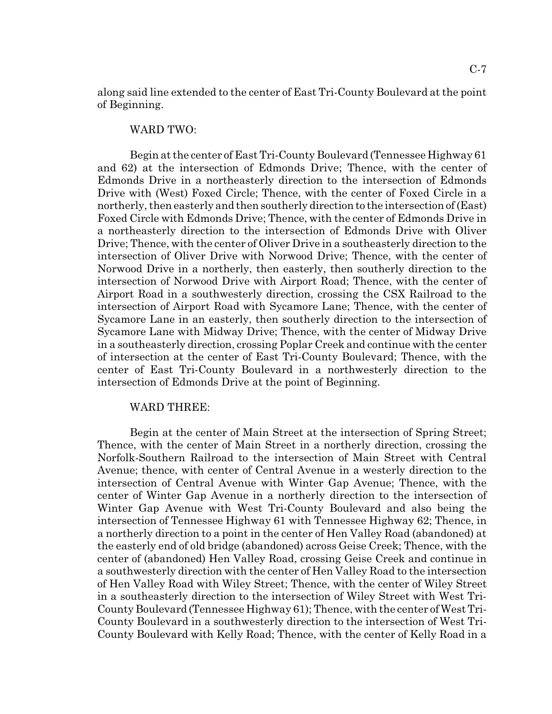along said line extended to the center of East Tri-County Boulevard at the point of Beginning.

## WARD TWO:

Begin at the center of East Tri-County Boulevard (Tennessee Highway 61 and 62) at the intersection of Edmonds Drive; Thence, with the center of Edmonds Drive in a northeasterly direction to the intersection of Edmonds Drive with (West) Foxed Circle; Thence, with the center of Foxed Circle in a northerly, then easterly and then southerly direction to the intersection of (East) Foxed Circle with Edmonds Drive; Thence, with the center of Edmonds Drive in a northeasterly direction to the intersection of Edmonds Drive with Oliver Drive; Thence, with the center of Oliver Drive in a southeasterly direction to the intersection of Oliver Drive with Norwood Drive; Thence, with the center of Norwood Drive in a northerly, then easterly, then southerly direction to the intersection of Norwood Drive with Airport Road; Thence, with the center of Airport Road in a southwesterly direction, crossing the CSX Railroad to the intersection of Airport Road with Sycamore Lane; Thence, with the center of Sycamore Lane in an easterly, then southerly direction to the intersection of Sycamore Lane with Midway Drive; Thence, with the center of Midway Drive in a southeasterly direction, crossing Poplar Creek and continue with the center of intersection at the center of East Tri-County Boulevard; Thence, with the center of East Tri-County Boulevard in a northwesterly direction to the intersection of Edmonds Drive at the point of Beginning.

## WARD THREE:

Begin at the center of Main Street at the intersection of Spring Street; Thence, with the center of Main Street in a northerly direction, crossing the Norfolk-Southern Railroad to the intersection of Main Street with Central Avenue; thence, with center of Central Avenue in a westerly direction to the intersection of Central Avenue with Winter Gap Avenue; Thence, with the center of Winter Gap Avenue in a northerly direction to the intersection of Winter Gap Avenue with West Tri-County Boulevard and also being the intersection of Tennessee Highway 61 with Tennessee Highway 62; Thence, in a northerly direction to a point in the center of Hen Valley Road (abandoned) at the easterly end of old bridge (abandoned) across Geise Creek; Thence, with the center of (abandoned) Hen Valley Road, crossing Geise Creek and continue in a southwesterly direction with the center of Hen Valley Road to the intersection of Hen Valley Road with Wiley Street; Thence, with the center of Wiley Street in a southeasterly direction to the intersection of Wiley Street with West Tri-County Boulevard (Tennessee Highway 61); Thence, with the center of West Tri-County Boulevard in a southwesterly direction to the intersection of West Tri-County Boulevard with Kelly Road; Thence, with the center of Kelly Road in a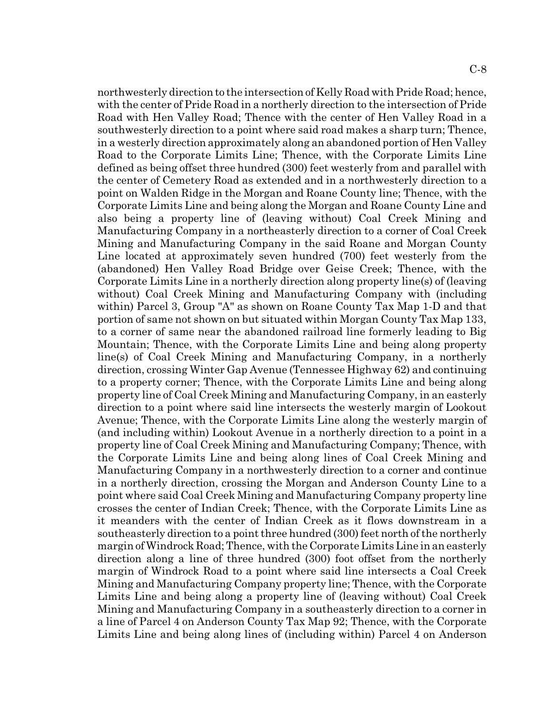northwesterly direction to the intersection of Kelly Road with Pride Road; hence, with the center of Pride Road in a northerly direction to the intersection of Pride Road with Hen Valley Road; Thence with the center of Hen Valley Road in a southwesterly direction to a point where said road makes a sharp turn; Thence, in a westerly direction approximately along an abandoned portion of Hen Valley Road to the Corporate Limits Line; Thence, with the Corporate Limits Line defined as being offset three hundred (300) feet westerly from and parallel with the center of Cemetery Road as extended and in a northwesterly direction to a point on Walden Ridge in the Morgan and Roane County line; Thence, with the Corporate Limits Line and being along the Morgan and Roane County Line and also being a property line of (leaving without) Coal Creek Mining and Manufacturing Company in a northeasterly direction to a corner of Coal Creek Mining and Manufacturing Company in the said Roane and Morgan County Line located at approximately seven hundred (700) feet westerly from the (abandoned) Hen Valley Road Bridge over Geise Creek; Thence, with the Corporate Limits Line in a northerly direction along property line(s) of (leaving without) Coal Creek Mining and Manufacturing Company with (including within) Parcel 3, Group "A" as shown on Roane County Tax Map 1-D and that portion of same not shown on but situated within Morgan County Tax Map 133, to a corner of same near the abandoned railroad line formerly leading to Big Mountain; Thence, with the Corporate Limits Line and being along property line(s) of Coal Creek Mining and Manufacturing Company, in a northerly direction, crossing Winter Gap Avenue (Tennessee Highway 62) and continuing to a property corner; Thence, with the Corporate Limits Line and being along property line of Coal Creek Mining and Manufacturing Company, in an easterly direction to a point where said line intersects the westerly margin of Lookout Avenue; Thence, with the Corporate Limits Line along the westerly margin of (and including within) Lookout Avenue in a northerly direction to a point in a property line of Coal Creek Mining and Manufacturing Company; Thence, with the Corporate Limits Line and being along lines of Coal Creek Mining and Manufacturing Company in a northwesterly direction to a corner and continue in a northerly direction, crossing the Morgan and Anderson County Line to a point where said Coal Creek Mining and Manufacturing Company property line crosses the center of Indian Creek; Thence, with the Corporate Limits Line as it meanders with the center of Indian Creek as it flows downstream in a southeasterly direction to a point three hundred (300) feet north of the northerly margin of Windrock Road; Thence, with the Corporate Limits Line in an easterly direction along a line of three hundred (300) foot offset from the northerly margin of Windrock Road to a point where said line intersects a Coal Creek Mining and Manufacturing Company property line; Thence, with the Corporate Limits Line and being along a property line of (leaving without) Coal Creek Mining and Manufacturing Company in a southeasterly direction to a corner in a line of Parcel 4 on Anderson County Tax Map 92; Thence, with the Corporate Limits Line and being along lines of (including within) Parcel 4 on Anderson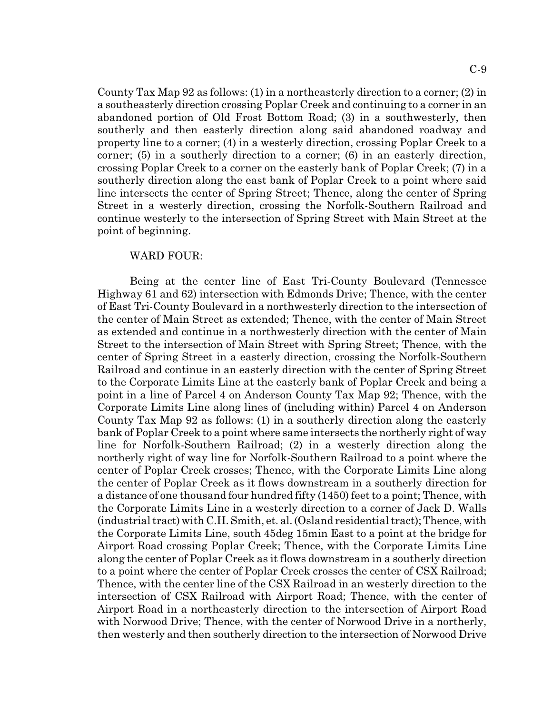C-9

County Tax Map 92 as follows: (1) in a northeasterly direction to a corner; (2) in a southeasterly direction crossing Poplar Creek and continuing to a corner in an abandoned portion of Old Frost Bottom Road; (3) in a southwesterly, then southerly and then easterly direction along said abandoned roadway and property line to a corner; (4) in a westerly direction, crossing Poplar Creek to a corner; (5) in a southerly direction to a corner; (6) in an easterly direction, crossing Poplar Creek to a corner on the easterly bank of Poplar Creek; (7) in a southerly direction along the east bank of Poplar Creek to a point where said line intersects the center of Spring Street; Thence, along the center of Spring Street in a westerly direction, crossing the Norfolk-Southern Railroad and continue westerly to the intersection of Spring Street with Main Street at the point of beginning.

#### WARD FOUR:

Being at the center line of East Tri-County Boulevard (Tennessee Highway 61 and 62) intersection with Edmonds Drive; Thence, with the center of East Tri-County Boulevard in a northwesterly direction to the intersection of the center of Main Street as extended; Thence, with the center of Main Street as extended and continue in a northwesterly direction with the center of Main Street to the intersection of Main Street with Spring Street; Thence, with the center of Spring Street in a easterly direction, crossing the Norfolk-Southern Railroad and continue in an easterly direction with the center of Spring Street to the Corporate Limits Line at the easterly bank of Poplar Creek and being a point in a line of Parcel 4 on Anderson County Tax Map 92; Thence, with the Corporate Limits Line along lines of (including within) Parcel 4 on Anderson County Tax Map 92 as follows: (1) in a southerly direction along the easterly bank of Poplar Creek to a point where same intersects the northerly right of way line for Norfolk-Southern Railroad; (2) in a westerly direction along the northerly right of way line for Norfolk-Southern Railroad to a point where the center of Poplar Creek crosses; Thence, with the Corporate Limits Line along the center of Poplar Creek as it flows downstream in a southerly direction for a distance of one thousand four hundred fifty (1450) feet to a point; Thence, with the Corporate Limits Line in a westerly direction to a corner of Jack D. Walls (industrial tract) with C.H. Smith, et. al. (Osland residential tract); Thence, with the Corporate Limits Line, south 45deg 15min East to a point at the bridge for Airport Road crossing Poplar Creek; Thence, with the Corporate Limits Line along the center of Poplar Creek as it flows downstream in a southerly direction to a point where the center of Poplar Creek crosses the center of CSX Railroad; Thence, with the center line of the CSX Railroad in an westerly direction to the intersection of CSX Railroad with Airport Road; Thence, with the center of Airport Road in a northeasterly direction to the intersection of Airport Road with Norwood Drive; Thence, with the center of Norwood Drive in a northerly, then westerly and then southerly direction to the intersection of Norwood Drive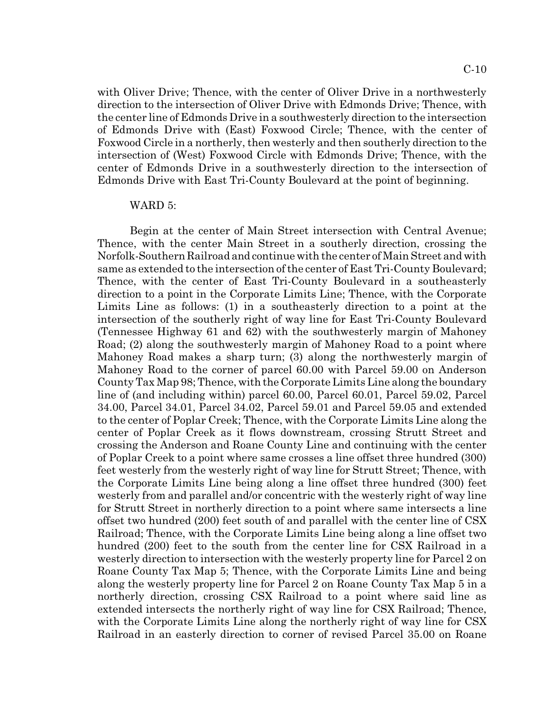with Oliver Drive; Thence, with the center of Oliver Drive in a northwesterly direction to the intersection of Oliver Drive with Edmonds Drive; Thence, with the center line of Edmonds Drive in a southwesterly direction to the intersection of Edmonds Drive with (East) Foxwood Circle; Thence, with the center of Foxwood Circle in a northerly, then westerly and then southerly direction to the intersection of (West) Foxwood Circle with Edmonds Drive; Thence, with the center of Edmonds Drive in a southwesterly direction to the intersection of Edmonds Drive with East Tri-County Boulevard at the point of beginning.

#### WARD 5:

Begin at the center of Main Street intersection with Central Avenue; Thence, with the center Main Street in a southerly direction, crossing the Norfolk-Southern Railroad and continue with the center of Main Street and with same as extended to the intersection of the center of East Tri-County Boulevard; Thence, with the center of East Tri-County Boulevard in a southeasterly direction to a point in the Corporate Limits Line; Thence, with the Corporate Limits Line as follows: (1) in a southeasterly direction to a point at the intersection of the southerly right of way line for East Tri-County Boulevard (Tennessee Highway 61 and 62) with the southwesterly margin of Mahoney Road; (2) along the southwesterly margin of Mahoney Road to a point where Mahoney Road makes a sharp turn; (3) along the northwesterly margin of Mahoney Road to the corner of parcel 60.00 with Parcel 59.00 on Anderson County Tax Map 98; Thence, with the Corporate Limits Line along the boundary line of (and including within) parcel 60.00, Parcel 60.01, Parcel 59.02, Parcel 34.00, Parcel 34.01, Parcel 34.02, Parcel 59.01 and Parcel 59.05 and extended to the center of Poplar Creek; Thence, with the Corporate Limits Line along the center of Poplar Creek as it flows downstream, crossing Strutt Street and crossing the Anderson and Roane County Line and continuing with the center of Poplar Creek to a point where same crosses a line offset three hundred (300) feet westerly from the westerly right of way line for Strutt Street; Thence, with the Corporate Limits Line being along a line offset three hundred (300) feet westerly from and parallel and/or concentric with the westerly right of way line for Strutt Street in northerly direction to a point where same intersects a line offset two hundred (200) feet south of and parallel with the center line of CSX Railroad; Thence, with the Corporate Limits Line being along a line offset two hundred (200) feet to the south from the center line for CSX Railroad in a westerly direction to intersection with the westerly property line for Parcel 2 on Roane County Tax Map 5; Thence, with the Corporate Limits Line and being along the westerly property line for Parcel 2 on Roane County Tax Map 5 in a northerly direction, crossing CSX Railroad to a point where said line as extended intersects the northerly right of way line for CSX Railroad; Thence, with the Corporate Limits Line along the northerly right of way line for CSX Railroad in an easterly direction to corner of revised Parcel 35.00 on Roane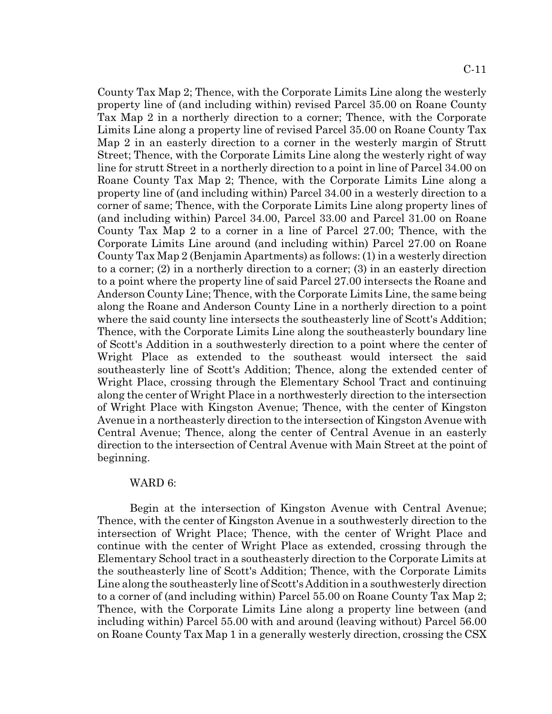County Tax Map 2; Thence, with the Corporate Limits Line along the westerly property line of (and including within) revised Parcel 35.00 on Roane County Tax Map 2 in a northerly direction to a corner; Thence, with the Corporate Limits Line along a property line of revised Parcel 35.00 on Roane County Tax Map 2 in an easterly direction to a corner in the westerly margin of Strutt Street; Thence, with the Corporate Limits Line along the westerly right of way line for strutt Street in a northerly direction to a point in line of Parcel 34.00 on Roane County Tax Map 2; Thence, with the Corporate Limits Line along a property line of (and including within) Parcel 34.00 in a westerly direction to a corner of same; Thence, with the Corporate Limits Line along property lines of (and including within) Parcel 34.00, Parcel 33.00 and Parcel 31.00 on Roane County Tax Map 2 to a corner in a line of Parcel 27.00; Thence, with the Corporate Limits Line around (and including within) Parcel 27.00 on Roane County Tax Map 2 (Benjamin Apartments) as follows: (1) in a westerly direction to a corner; (2) in a northerly direction to a corner; (3) in an easterly direction to a point where the property line of said Parcel 27.00 intersects the Roane and Anderson County Line; Thence, with the Corporate Limits Line, the same being along the Roane and Anderson County Line in a northerly direction to a point where the said county line intersects the southeasterly line of Scott's Addition; Thence, with the Corporate Limits Line along the southeasterly boundary line of Scott's Addition in a southwesterly direction to a point where the center of Wright Place as extended to the southeast would intersect the said southeasterly line of Scott's Addition; Thence, along the extended center of Wright Place, crossing through the Elementary School Tract and continuing along the center of Wright Place in a northwesterly direction to the intersection of Wright Place with Kingston Avenue; Thence, with the center of Kingston Avenue in a northeasterly direction to the intersection of Kingston Avenue with Central Avenue; Thence, along the center of Central Avenue in an easterly direction to the intersection of Central Avenue with Main Street at the point of beginning.

## WARD 6:

Begin at the intersection of Kingston Avenue with Central Avenue; Thence, with the center of Kingston Avenue in a southwesterly direction to the intersection of Wright Place; Thence, with the center of Wright Place and continue with the center of Wright Place as extended, crossing through the Elementary School tract in a southeasterly direction to the Corporate Limits at the southeasterly line of Scott's Addition; Thence, with the Corporate Limits Line along the southeasterly line of Scott's Addition in a southwesterly direction to a corner of (and including within) Parcel 55.00 on Roane County Tax Map 2; Thence, with the Corporate Limits Line along a property line between (and including within) Parcel 55.00 with and around (leaving without) Parcel 56.00 on Roane County Tax Map 1 in a generally westerly direction, crossing the CSX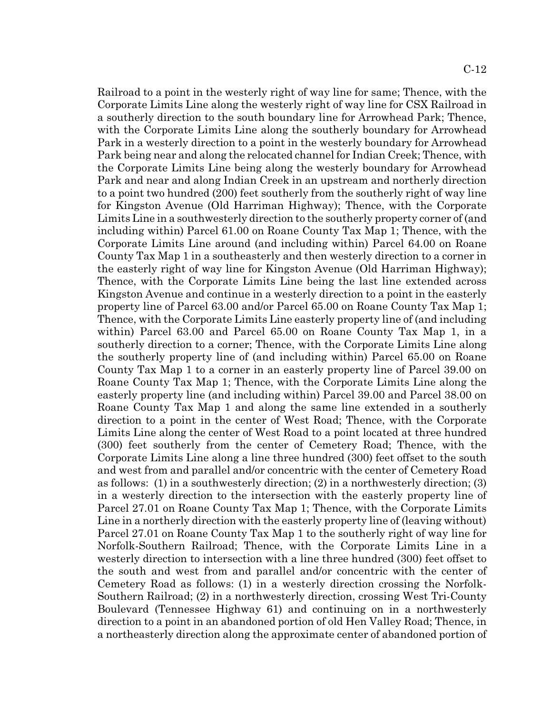Railroad to a point in the westerly right of way line for same; Thence, with the Corporate Limits Line along the westerly right of way line for CSX Railroad in a southerly direction to the south boundary line for Arrowhead Park; Thence, with the Corporate Limits Line along the southerly boundary for Arrowhead Park in a westerly direction to a point in the westerly boundary for Arrowhead Park being near and along the relocated channel for Indian Creek; Thence, with the Corporate Limits Line being along the westerly boundary for Arrowhead Park and near and along Indian Creek in an upstream and northerly direction to a point two hundred (200) feet southerly from the southerly right of way line for Kingston Avenue (Old Harriman Highway); Thence, with the Corporate Limits Line in a southwesterly direction to the southerly property corner of (and including within) Parcel 61.00 on Roane County Tax Map 1; Thence, with the Corporate Limits Line around (and including within) Parcel 64.00 on Roane County Tax Map 1 in a southeasterly and then westerly direction to a corner in the easterly right of way line for Kingston Avenue (Old Harriman Highway); Thence, with the Corporate Limits Line being the last line extended across Kingston Avenue and continue in a westerly direction to a point in the easterly property line of Parcel 63.00 and/or Parcel 65.00 on Roane County Tax Map 1; Thence, with the Corporate Limits Line easterly property line of (and including within) Parcel 63.00 and Parcel 65.00 on Roane County Tax Map 1, in a southerly direction to a corner; Thence, with the Corporate Limits Line along the southerly property line of (and including within) Parcel 65.00 on Roane County Tax Map 1 to a corner in an easterly property line of Parcel 39.00 on Roane County Tax Map 1; Thence, with the Corporate Limits Line along the easterly property line (and including within) Parcel 39.00 and Parcel 38.00 on Roane County Tax Map 1 and along the same line extended in a southerly direction to a point in the center of West Road; Thence, with the Corporate Limits Line along the center of West Road to a point located at three hundred (300) feet southerly from the center of Cemetery Road; Thence, with the Corporate Limits Line along a line three hundred (300) feet offset to the south and west from and parallel and/or concentric with the center of Cemetery Road as follows: (1) in a southwesterly direction; (2) in a northwesterly direction; (3) in a westerly direction to the intersection with the easterly property line of Parcel 27.01 on Roane County Tax Map 1; Thence, with the Corporate Limits Line in a northerly direction with the easterly property line of (leaving without) Parcel 27.01 on Roane County Tax Map 1 to the southerly right of way line for Norfolk-Southern Railroad; Thence, with the Corporate Limits Line in a westerly direction to intersection with a line three hundred (300) feet offset to the south and west from and parallel and/or concentric with the center of Cemetery Road as follows: (1) in a westerly direction crossing the Norfolk-Southern Railroad; (2) in a northwesterly direction, crossing West Tri-County Boulevard (Tennessee Highway 61) and continuing on in a northwesterly direction to a point in an abandoned portion of old Hen Valley Road; Thence, in a northeasterly direction along the approximate center of abandoned portion of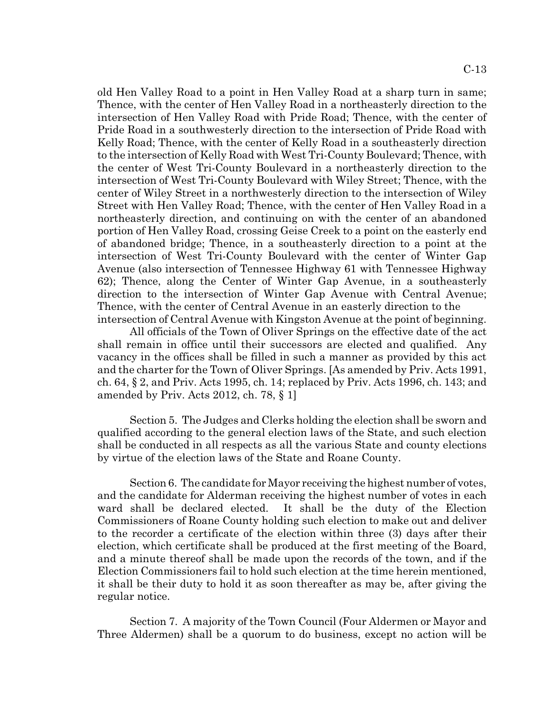old Hen Valley Road to a point in Hen Valley Road at a sharp turn in same; Thence, with the center of Hen Valley Road in a northeasterly direction to the intersection of Hen Valley Road with Pride Road; Thence, with the center of Pride Road in a southwesterly direction to the intersection of Pride Road with Kelly Road; Thence, with the center of Kelly Road in a southeasterly direction to the intersection of Kelly Road with West Tri-County Boulevard; Thence, with the center of West Tri-County Boulevard in a northeasterly direction to the intersection of West Tri-County Boulevard with Wiley Street; Thence, with the center of Wiley Street in a northwesterly direction to the intersection of Wiley Street with Hen Valley Road; Thence, with the center of Hen Valley Road in a northeasterly direction, and continuing on with the center of an abandoned portion of Hen Valley Road, crossing Geise Creek to a point on the easterly end of abandoned bridge; Thence, in a southeasterly direction to a point at the intersection of West Tri-County Boulevard with the center of Winter Gap Avenue (also intersection of Tennessee Highway 61 with Tennessee Highway 62); Thence, along the Center of Winter Gap Avenue, in a southeasterly direction to the intersection of Winter Gap Avenue with Central Avenue; Thence, with the center of Central Avenue in an easterly direction to the intersection of Central Avenue with Kingston Avenue at the point of beginning.

All officials of the Town of Oliver Springs on the effective date of the act shall remain in office until their successors are elected and qualified. Any vacancy in the offices shall be filled in such a manner as provided by this act and the charter for the Town of Oliver Springs. [As amended by Priv. Acts 1991, ch. 64, § 2, and Priv. Acts 1995, ch. 14; replaced by Priv. Acts 1996, ch. 143; and amended by Priv. Acts 2012, ch. 78, § 1]

Section 5. The Judges and Clerks holding the election shall be sworn and qualified according to the general election laws of the State, and such election shall be conducted in all respects as all the various State and county elections by virtue of the election laws of the State and Roane County.

Section 6. The candidate for Mayor receiving the highest number of votes, and the candidate for Alderman receiving the highest number of votes in each ward shall be declared elected. It shall be the duty of the Election Commissioners of Roane County holding such election to make out and deliver to the recorder a certificate of the election within three (3) days after their election, which certificate shall be produced at the first meeting of the Board, and a minute thereof shall be made upon the records of the town, and if the Election Commissioners fail to hold such election at the time herein mentioned, it shall be their duty to hold it as soon thereafter as may be, after giving the regular notice.

Section 7. A majority of the Town Council (Four Aldermen or Mayor and Three Aldermen) shall be a quorum to do business, except no action will be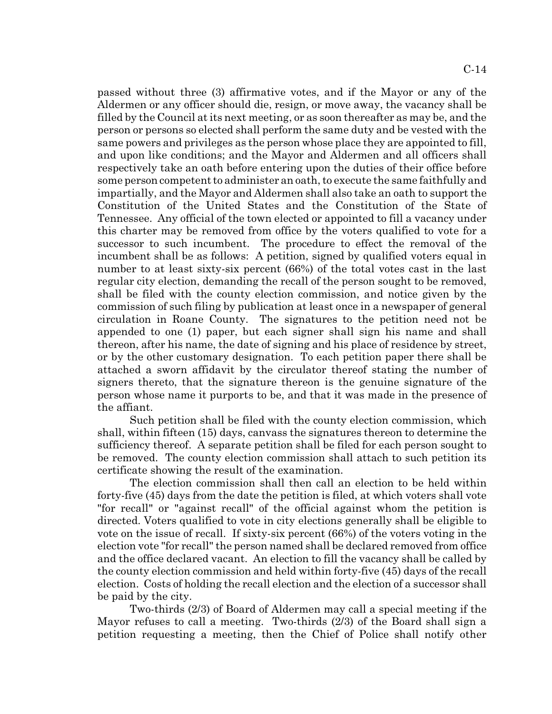passed without three (3) affirmative votes, and if the Mayor or any of the Aldermen or any officer should die, resign, or move away, the vacancy shall be filled by the Council at its next meeting, or as soon thereafter as may be, and the person or persons so elected shall perform the same duty and be vested with the same powers and privileges as the person whose place they are appointed to fill, and upon like conditions; and the Mayor and Aldermen and all officers shall respectively take an oath before entering upon the duties of their office before some person competent to administer an oath, to execute the same faithfully and impartially, and the Mayor and Aldermen shall also take an oath to support the Constitution of the United States and the Constitution of the State of Tennessee. Any official of the town elected or appointed to fill a vacancy under this charter may be removed from office by the voters qualified to vote for a successor to such incumbent. The procedure to effect the removal of the incumbent shall be as follows: A petition, signed by qualified voters equal in number to at least sixty-six percent (66%) of the total votes cast in the last regular city election, demanding the recall of the person sought to be removed, shall be filed with the county election commission, and notice given by the commission of such filing by publication at least once in a newspaper of general circulation in Roane County. The signatures to the petition need not be appended to one (1) paper, but each signer shall sign his name and shall thereon, after his name, the date of signing and his place of residence by street, or by the other customary designation. To each petition paper there shall be attached a sworn affidavit by the circulator thereof stating the number of signers thereto, that the signature thereon is the genuine signature of the person whose name it purports to be, and that it was made in the presence of the affiant.

Such petition shall be filed with the county election commission, which shall, within fifteen (15) days, canvass the signatures thereon to determine the sufficiency thereof. A separate petition shall be filed for each person sought to be removed. The county election commission shall attach to such petition its certificate showing the result of the examination.

The election commission shall then call an election to be held within forty-five (45) days from the date the petition is filed, at which voters shall vote "for recall" or "against recall" of the official against whom the petition is directed. Voters qualified to vote in city elections generally shall be eligible to vote on the issue of recall. If sixty-six percent (66%) of the voters voting in the election vote "for recall" the person named shall be declared removed from office and the office declared vacant. An election to fill the vacancy shall be called by the county election commission and held within forty-five (45) days of the recall election. Costs of holding the recall election and the election of a successor shall be paid by the city.

Two-thirds (2/3) of Board of Aldermen may call a special meeting if the Mayor refuses to call a meeting. Two-thirds (2/3) of the Board shall sign a petition requesting a meeting, then the Chief of Police shall notify other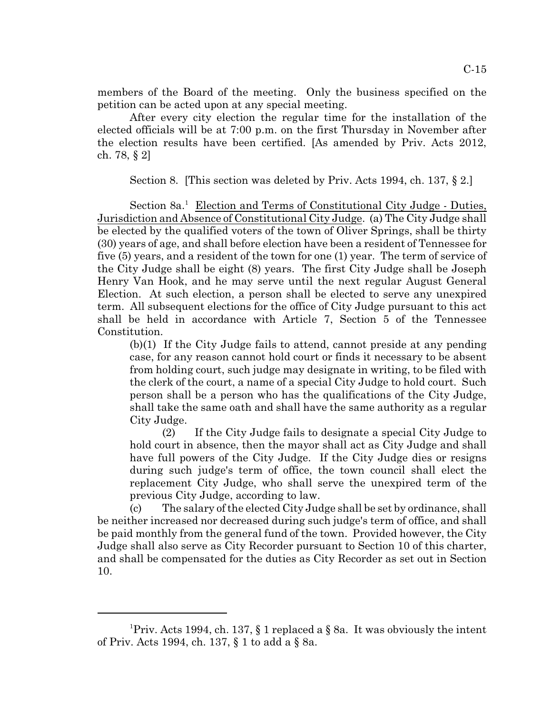members of the Board of the meeting. Only the business specified on the petition can be acted upon at any special meeting.

After every city election the regular time for the installation of the elected officials will be at 7:00 p.m. on the first Thursday in November after the election results have been certified. [As amended by Priv. Acts 2012, ch. 78, § 2]

Section 8. [This section was deleted by Priv. Acts 1994, ch. 137, § 2.]

Section 8a.<sup>1</sup> Election and Terms of Constitutional City Judge - Duties, Jurisdiction and Absence of Constitutional City Judge. (a) The City Judge shall be elected by the qualified voters of the town of Oliver Springs, shall be thirty (30) years of age, and shall before election have been a resident of Tennessee for five (5) years, and a resident of the town for one (1) year. The term of service of the City Judge shall be eight (8) years. The first City Judge shall be Joseph Henry Van Hook, and he may serve until the next regular August General Election. At such election, a person shall be elected to serve any unexpired term. All subsequent elections for the office of City Judge pursuant to this act shall be held in accordance with Article 7, Section 5 of the Tennessee Constitution.

(b)(1) If the City Judge fails to attend, cannot preside at any pending case, for any reason cannot hold court or finds it necessary to be absent from holding court, such judge may designate in writing, to be filed with the clerk of the court, a name of a special City Judge to hold court. Such person shall be a person who has the qualifications of the City Judge, shall take the same oath and shall have the same authority as a regular City Judge.

(2) If the City Judge fails to designate a special City Judge to hold court in absence, then the mayor shall act as City Judge and shall have full powers of the City Judge. If the City Judge dies or resigns during such judge's term of office, the town council shall elect the replacement City Judge, who shall serve the unexpired term of the previous City Judge, according to law.

(c) The salary of the elected City Judge shall be set by ordinance, shall be neither increased nor decreased during such judge's term of office, and shall be paid monthly from the general fund of the town. Provided however, the City Judge shall also serve as City Recorder pursuant to Section 10 of this charter, and shall be compensated for the duties as City Recorder as set out in Section 10.

<sup>&</sup>lt;sup>1</sup>Priv. Acts 1994, ch. 137, § 1 replaced a § 8a. It was obviously the intent of Priv. Acts 1994, ch. 137, § 1 to add a § 8a.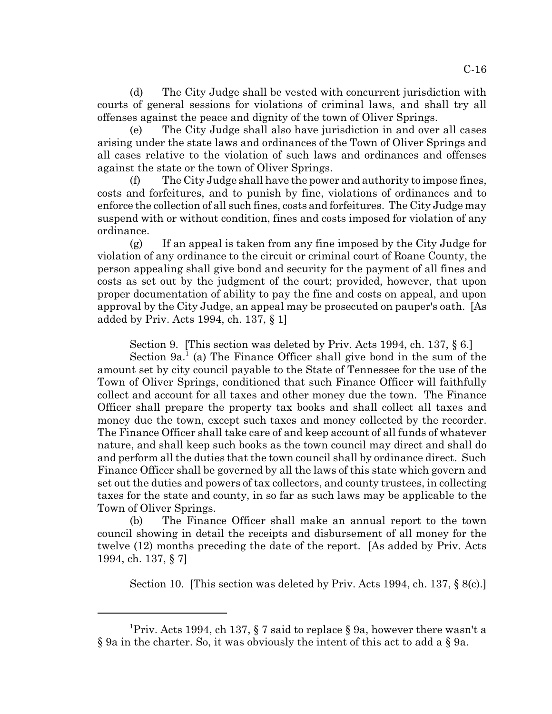(d) The City Judge shall be vested with concurrent jurisdiction with courts of general sessions for violations of criminal laws, and shall try all offenses against the peace and dignity of the town of Oliver Springs.

The City Judge shall also have jurisdiction in and over all cases arising under the state laws and ordinances of the Town of Oliver Springs and all cases relative to the violation of such laws and ordinances and offenses against the state or the town of Oliver Springs.

(f) The City Judge shall have the power and authority to impose fines, costs and forfeitures, and to punish by fine, violations of ordinances and to enforce the collection of all such fines, costs and forfeitures. The City Judge may suspend with or without condition, fines and costs imposed for violation of any ordinance.

(g) If an appeal is taken from any fine imposed by the City Judge for violation of any ordinance to the circuit or criminal court of Roane County, the person appealing shall give bond and security for the payment of all fines and costs as set out by the judgment of the court; provided, however, that upon proper documentation of ability to pay the fine and costs on appeal, and upon approval by the City Judge, an appeal may be prosecuted on pauper's oath. [As added by Priv. Acts 1994, ch. 137, § 1]

Section 9. [This section was deleted by Priv. Acts 1994, ch. 137, § 6.]

Section  $9a^1$  (a) The Finance Officer shall give bond in the sum of the amount set by city council payable to the State of Tennessee for the use of the Town of Oliver Springs, conditioned that such Finance Officer will faithfully collect and account for all taxes and other money due the town. The Finance Officer shall prepare the property tax books and shall collect all taxes and money due the town, except such taxes and money collected by the recorder. The Finance Officer shall take care of and keep account of all funds of whatever nature, and shall keep such books as the town council may direct and shall do and perform all the duties that the town council shall by ordinance direct. Such Finance Officer shall be governed by all the laws of this state which govern and set out the duties and powers of tax collectors, and county trustees, in collecting taxes for the state and county, in so far as such laws may be applicable to the Town of Oliver Springs.

(b) The Finance Officer shall make an annual report to the town council showing in detail the receipts and disbursement of all money for the twelve (12) months preceding the date of the report. [As added by Priv. Acts 1994, ch. 137, § 7]

Section 10. [This section was deleted by Priv. Acts 1994, ch. 137, § 8(c).]

<sup>&</sup>lt;sup>1</sup>Priv. Acts 1994, ch 137, § 7 said to replace § 9a, however there wasn't a § 9a in the charter. So, it was obviously the intent of this act to add a § 9a.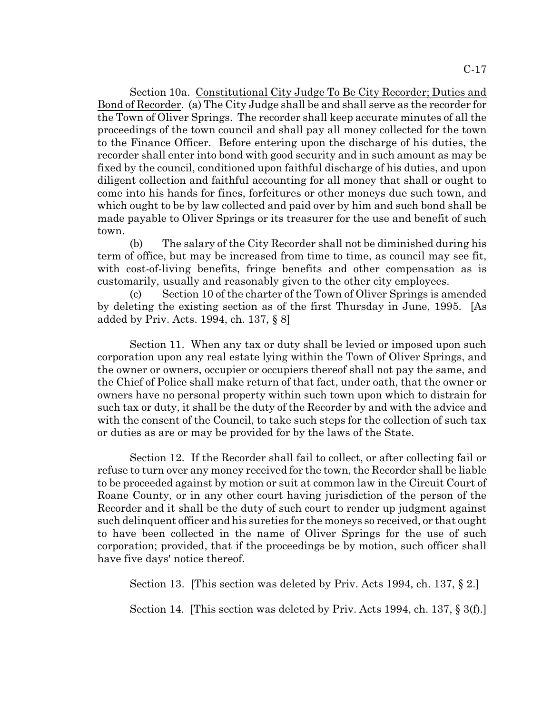Section 10a. Constitutional City Judge To Be City Recorder; Duties and Bond of Recorder. (a) The City Judge shall be and shall serve as the recorder for the Town of Oliver Springs. The recorder shall keep accurate minutes of all the proceedings of the town council and shall pay all money collected for the town to the Finance Officer. Before entering upon the discharge of his duties, the recorder shall enter into bond with good security and in such amount as may be fixed by the council, conditioned upon faithful discharge of his duties, and upon diligent collection and faithful accounting for all money that shall or ought to come into his hands for fines, forfeitures or other moneys due such town, and which ought to be by law collected and paid over by him and such bond shall be made payable to Oliver Springs or its treasurer for the use and benefit of such town.

(b) The salary of the City Recorder shall not be diminished during his term of office, but may be increased from time to time, as council may see fit, with cost-of-living benefits, fringe benefits and other compensation as is customarily, usually and reasonably given to the other city employees.

(c) Section 10 of the charter of the Town of Oliver Springs is amended by deleting the existing section as of the first Thursday in June, 1995. [As added by Priv. Acts. 1994, ch. 137, § 8]

Section 11. When any tax or duty shall be levied or imposed upon such corporation upon any real estate lying within the Town of Oliver Springs, and the owner or owners, occupier or occupiers thereof shall not pay the same, and the Chief of Police shall make return of that fact, under oath, that the owner or owners have no personal property within such town upon which to distrain for such tax or duty, it shall be the duty of the Recorder by and with the advice and with the consent of the Council, to take such steps for the collection of such tax or duties as are or may be provided for by the laws of the State.

Section 12. If the Recorder shall fail to collect, or after collecting fail or refuse to turn over any money received for the town, the Recorder shall be liable to be proceeded against by motion or suit at common law in the Circuit Court of Roane County, or in any other court having jurisdiction of the person of the Recorder and it shall be the duty of such court to render up judgment against such delinquent officer and his sureties for the moneys so received, or that ought to have been collected in the name of Oliver Springs for the use of such corporation; provided, that if the proceedings be by motion, such officer shall have five days' notice thereof.

Section 13. [This section was deleted by Priv. Acts 1994, ch. 137, § 2.]

Section 14. [This section was deleted by Priv. Acts 1994, ch. 137, § 3(f).]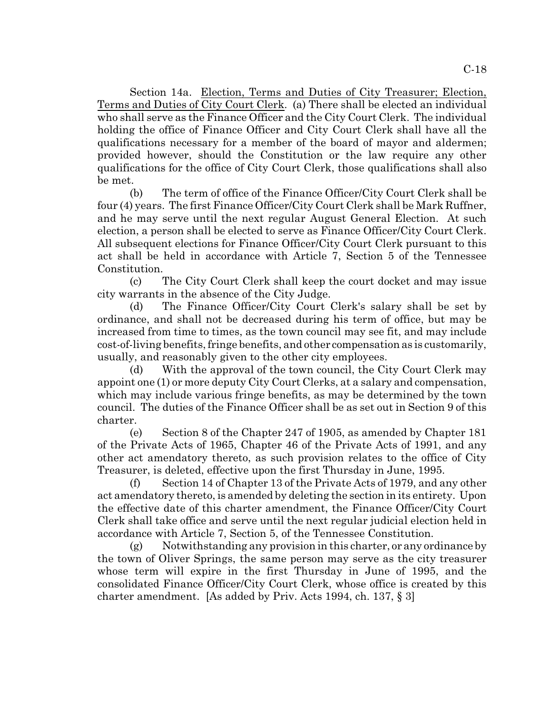Section 14a. Election, Terms and Duties of City Treasurer; Election, Terms and Duties of City Court Clerk. (a) There shall be elected an individual who shall serve as the Finance Officer and the City Court Clerk. The individual holding the office of Finance Officer and City Court Clerk shall have all the qualifications necessary for a member of the board of mayor and aldermen; provided however, should the Constitution or the law require any other qualifications for the office of City Court Clerk, those qualifications shall also be met.

(b) The term of office of the Finance Officer/City Court Clerk shall be four (4) years. The first Finance Officer/City Court Clerk shall be Mark Ruffner, and he may serve until the next regular August General Election. At such election, a person shall be elected to serve as Finance Officer/City Court Clerk. All subsequent elections for Finance Officer/City Court Clerk pursuant to this act shall be held in accordance with Article 7, Section 5 of the Tennessee Constitution.

(c) The City Court Clerk shall keep the court docket and may issue city warrants in the absence of the City Judge.

(d) The Finance Officer/City Court Clerk's salary shall be set by ordinance, and shall not be decreased during his term of office, but may be increased from time to times, as the town council may see fit, and may include cost-of-living benefits, fringe benefits, and other compensation as is customarily, usually, and reasonably given to the other city employees.

(d) With the approval of the town council, the City Court Clerk may appoint one (1) or more deputy City Court Clerks, at a salary and compensation, which may include various fringe benefits, as may be determined by the town council. The duties of the Finance Officer shall be as set out in Section 9 of this charter.

(e) Section 8 of the Chapter 247 of 1905, as amended by Chapter 181 of the Private Acts of 1965, Chapter 46 of the Private Acts of 1991, and any other act amendatory thereto, as such provision relates to the office of City Treasurer, is deleted, effective upon the first Thursday in June, 1995.

(f) Section 14 of Chapter 13 of the Private Acts of 1979, and any other act amendatory thereto, is amended by deleting the section in its entirety. Upon the effective date of this charter amendment, the Finance Officer/City Court Clerk shall take office and serve until the next regular judicial election held in accordance with Article 7, Section 5, of the Tennessee Constitution.

(g) Notwithstanding any provision in this charter, or any ordinance by the town of Oliver Springs, the same person may serve as the city treasurer whose term will expire in the first Thursday in June of 1995, and the consolidated Finance Officer/City Court Clerk, whose office is created by this charter amendment. [As added by Priv. Acts 1994, ch. 137, § 3]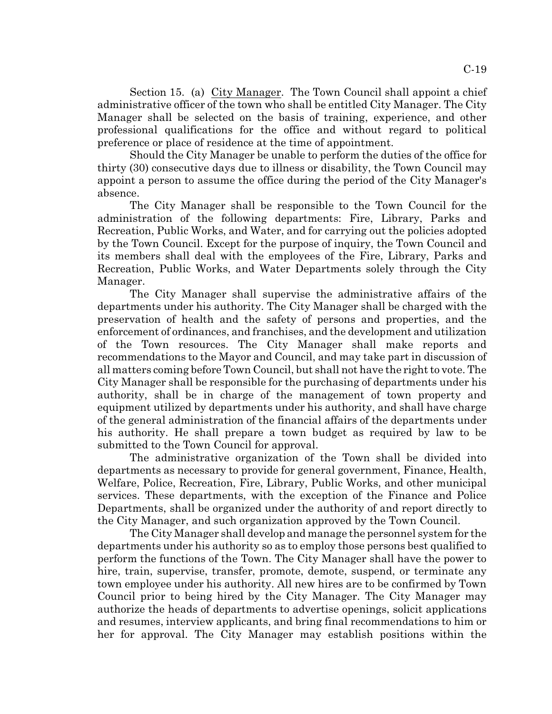Section 15. (a) City Manager. The Town Council shall appoint a chief administrative officer of the town who shall be entitled City Manager. The City Manager shall be selected on the basis of training, experience, and other professional qualifications for the office and without regard to political preference or place of residence at the time of appointment.

Should the City Manager be unable to perform the duties of the office for thirty (30) consecutive days due to illness or disability, the Town Council may appoint a person to assume the office during the period of the City Manager's absence.

The City Manager shall be responsible to the Town Council for the administration of the following departments: Fire, Library, Parks and Recreation, Public Works, and Water, and for carrying out the policies adopted by the Town Council. Except for the purpose of inquiry, the Town Council and its members shall deal with the employees of the Fire, Library, Parks and Recreation, Public Works, and Water Departments solely through the City Manager.

The City Manager shall supervise the administrative affairs of the departments under his authority. The City Manager shall be charged with the preservation of health and the safety of persons and properties, and the enforcement of ordinances, and franchises, and the development and utilization of the Town resources. The City Manager shall make reports and recommendations to the Mayor and Council, and may take part in discussion of all matters coming before Town Council, but shall not have the right to vote. The City Manager shall be responsible for the purchasing of departments under his authority, shall be in charge of the management of town property and equipment utilized by departments under his authority, and shall have charge of the general administration of the financial affairs of the departments under his authority. He shall prepare a town budget as required by law to be submitted to the Town Council for approval.

The administrative organization of the Town shall be divided into departments as necessary to provide for general government, Finance, Health, Welfare, Police, Recreation, Fire, Library, Public Works, and other municipal services. These departments, with the exception of the Finance and Police Departments, shall be organized under the authority of and report directly to the City Manager, and such organization approved by the Town Council.

The City Manager shall develop and manage the personnel system for the departments under his authority so as to employ those persons best qualified to perform the functions of the Town. The City Manager shall have the power to hire, train, supervise, transfer, promote, demote, suspend, or terminate any town employee under his authority. All new hires are to be confirmed by Town Council prior to being hired by the City Manager. The City Manager may authorize the heads of departments to advertise openings, solicit applications and resumes, interview applicants, and bring final recommendations to him or her for approval. The City Manager may establish positions within the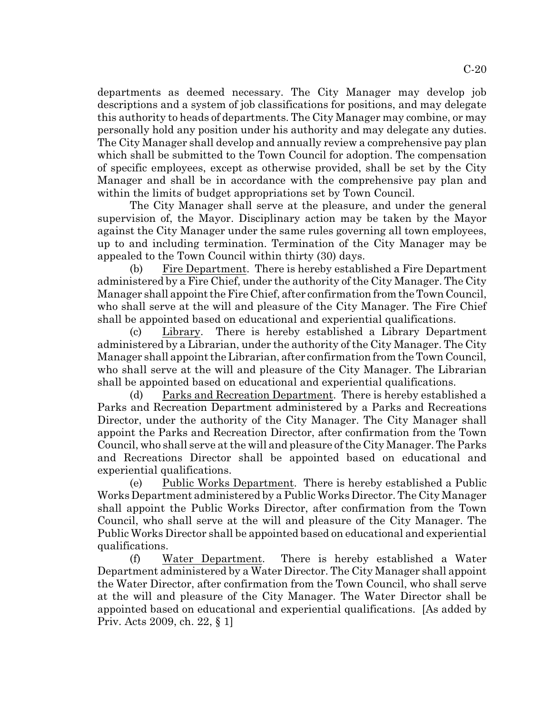departments as deemed necessary. The City Manager may develop job descriptions and a system of job classifications for positions, and may delegate this authority to heads of departments. The City Manager may combine, or may personally hold any position under his authority and may delegate any duties. The City Manager shall develop and annually review a comprehensive pay plan which shall be submitted to the Town Council for adoption. The compensation of specific employees, except as otherwise provided, shall be set by the City Manager and shall be in accordance with the comprehensive pay plan and within the limits of budget appropriations set by Town Council.

The City Manager shall serve at the pleasure, and under the general supervision of, the Mayor. Disciplinary action may be taken by the Mayor against the City Manager under the same rules governing all town employees, up to and including termination. Termination of the City Manager may be appealed to the Town Council within thirty (30) days.

(b) Fire Department. There is hereby established a Fire Department administered by a Fire Chief, under the authority of the City Manager. The City Manager shall appoint the Fire Chief, after confirmation from the Town Council, who shall serve at the will and pleasure of the City Manager. The Fire Chief shall be appointed based on educational and experiential qualifications.

(c) Library. There is hereby established a Library Department administered by a Librarian, under the authority of the City Manager. The City Manager shall appoint the Librarian, after confirmation from the Town Council, who shall serve at the will and pleasure of the City Manager. The Librarian shall be appointed based on educational and experiential qualifications.

(d) Parks and Recreation Department. There is hereby established a Parks and Recreation Department administered by a Parks and Recreations Director, under the authority of the City Manager. The City Manager shall appoint the Parks and Recreation Director, after confirmation from the Town Council, who shall serve at the will and pleasure of the City Manager. The Parks and Recreations Director shall be appointed based on educational and experiential qualifications.

(e) Public Works Department. There is hereby established a Public Works Department administered by a Public Works Director. The City Manager shall appoint the Public Works Director, after confirmation from the Town Council, who shall serve at the will and pleasure of the City Manager. The Public Works Director shall be appointed based on educational and experiential qualifications.

(f) Water Department. There is hereby established a Water Department administered by a Water Director. The City Manager shall appoint the Water Director, after confirmation from the Town Council, who shall serve at the will and pleasure of the City Manager. The Water Director shall be appointed based on educational and experiential qualifications. [As added by Priv. Acts 2009, ch. 22, § 1]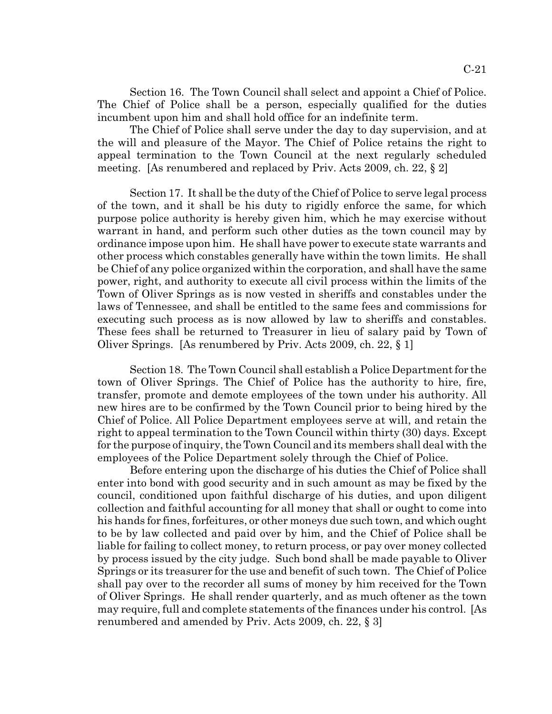Section 16. The Town Council shall select and appoint a Chief of Police. The Chief of Police shall be a person, especially qualified for the duties incumbent upon him and shall hold office for an indefinite term.

The Chief of Police shall serve under the day to day supervision, and at the will and pleasure of the Mayor. The Chief of Police retains the right to appeal termination to the Town Council at the next regularly scheduled meeting. [As renumbered and replaced by Priv. Acts 2009, ch. 22, § 2]

Section 17. It shall be the duty of the Chief of Police to serve legal process of the town, and it shall be his duty to rigidly enforce the same, for which purpose police authority is hereby given him, which he may exercise without warrant in hand, and perform such other duties as the town council may by ordinance impose upon him. He shall have power to execute state warrants and other process which constables generally have within the town limits. He shall be Chief of any police organized within the corporation, and shall have the same power, right, and authority to execute all civil process within the limits of the Town of Oliver Springs as is now vested in sheriffs and constables under the laws of Tennessee, and shall be entitled to the same fees and commissions for executing such process as is now allowed by law to sheriffs and constables. These fees shall be returned to Treasurer in lieu of salary paid by Town of Oliver Springs. [As renumbered by Priv. Acts 2009, ch. 22, § 1]

Section 18. The Town Council shall establish a Police Department for the town of Oliver Springs. The Chief of Police has the authority to hire, fire, transfer, promote and demote employees of the town under his authority. All new hires are to be confirmed by the Town Council prior to being hired by the Chief of Police. All Police Department employees serve at will, and retain the right to appeal termination to the Town Council within thirty (30) days. Except for the purpose of inquiry, the Town Council and its members shall deal with the employees of the Police Department solely through the Chief of Police.

Before entering upon the discharge of his duties the Chief of Police shall enter into bond with good security and in such amount as may be fixed by the council, conditioned upon faithful discharge of his duties, and upon diligent collection and faithful accounting for all money that shall or ought to come into his hands for fines, forfeitures, or other moneys due such town, and which ought to be by law collected and paid over by him, and the Chief of Police shall be liable for failing to collect money, to return process, or pay over money collected by process issued by the city judge. Such bond shall be made payable to Oliver Springs or its treasurer for the use and benefit of such town. The Chief of Police shall pay over to the recorder all sums of money by him received for the Town of Oliver Springs. He shall render quarterly, and as much oftener as the town may require, full and complete statements of the finances under his control. [As renumbered and amended by Priv. Acts 2009, ch. 22, § 3]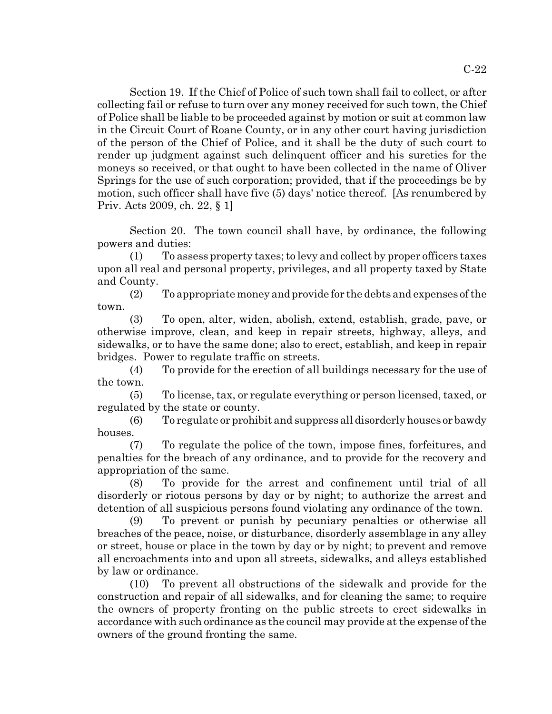Section 19. If the Chief of Police of such town shall fail to collect, or after collecting fail or refuse to turn over any money received for such town, the Chief of Police shall be liable to be proceeded against by motion or suit at common law in the Circuit Court of Roane County, or in any other court having jurisdiction of the person of the Chief of Police, and it shall be the duty of such court to render up judgment against such delinquent officer and his sureties for the moneys so received, or that ought to have been collected in the name of Oliver Springs for the use of such corporation; provided, that if the proceedings be by motion, such officer shall have five (5) days' notice thereof. [As renumbered by Priv. Acts 2009, ch. 22, § 1]

Section 20. The town council shall have, by ordinance, the following powers and duties:

(1) To assess property taxes; to levy and collect by proper officers taxes upon all real and personal property, privileges, and all property taxed by State and County.

(2) To appropriate money and provide for the debts and expenses of the town.

(3) To open, alter, widen, abolish, extend, establish, grade, pave, or otherwise improve, clean, and keep in repair streets, highway, alleys, and sidewalks, or to have the same done; also to erect, establish, and keep in repair bridges. Power to regulate traffic on streets.

(4) To provide for the erection of all buildings necessary for the use of the town.

(5) To license, tax, or regulate everything or person licensed, taxed, or regulated by the state or county.

(6) To regulate or prohibit and suppress all disorderly houses or bawdy houses.

(7) To regulate the police of the town, impose fines, forfeitures, and penalties for the breach of any ordinance, and to provide for the recovery and appropriation of the same.

(8) To provide for the arrest and confinement until trial of all disorderly or riotous persons by day or by night; to authorize the arrest and detention of all suspicious persons found violating any ordinance of the town.

(9) To prevent or punish by pecuniary penalties or otherwise all breaches of the peace, noise, or disturbance, disorderly assemblage in any alley or street, house or place in the town by day or by night; to prevent and remove all encroachments into and upon all streets, sidewalks, and alleys established by law or ordinance.

(10) To prevent all obstructions of the sidewalk and provide for the construction and repair of all sidewalks, and for cleaning the same; to require the owners of property fronting on the public streets to erect sidewalks in accordance with such ordinance as the council may provide at the expense of the owners of the ground fronting the same.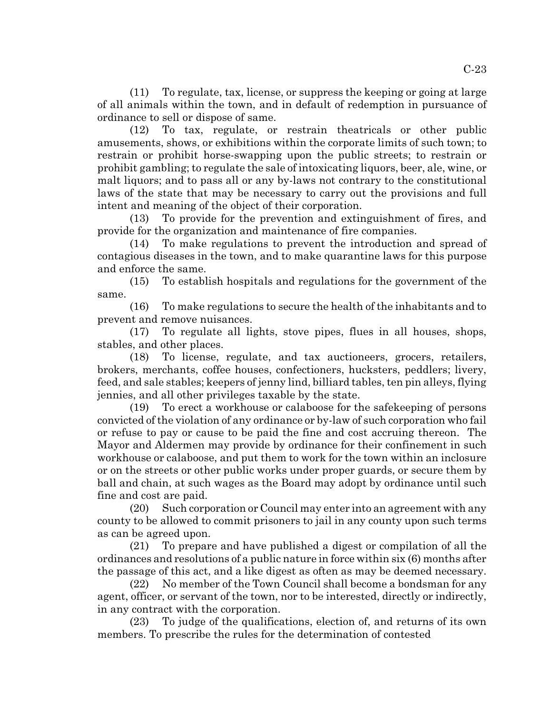(11) To regulate, tax, license, or suppress the keeping or going at large of all animals within the town, and in default of redemption in pursuance of ordinance to sell or dispose of same.

(12) To tax, regulate, or restrain theatricals or other public amusements, shows, or exhibitions within the corporate limits of such town; to restrain or prohibit horse-swapping upon the public streets; to restrain or prohibit gambling; to regulate the sale of intoxicating liquors, beer, ale, wine, or malt liquors; and to pass all or any by-laws not contrary to the constitutional laws of the state that may be necessary to carry out the provisions and full intent and meaning of the object of their corporation.

(13) To provide for the prevention and extinguishment of fires, and provide for the organization and maintenance of fire companies.

(14) To make regulations to prevent the introduction and spread of contagious diseases in the town, and to make quarantine laws for this purpose and enforce the same.

(15) To establish hospitals and regulations for the government of the same.

(16) To make regulations to secure the health of the inhabitants and to prevent and remove nuisances.

(17) To regulate all lights, stove pipes, flues in all houses, shops, stables, and other places.

(18) To license, regulate, and tax auctioneers, grocers, retailers, brokers, merchants, coffee houses, confectioners, hucksters, peddlers; livery, feed, and sale stables; keepers of jenny lind, billiard tables, ten pin alleys, flying jennies, and all other privileges taxable by the state.

(19) To erect a workhouse or calaboose for the safekeeping of persons convicted of the violation of any ordinance or by-law of such corporation who fail or refuse to pay or cause to be paid the fine and cost accruing thereon. The Mayor and Aldermen may provide by ordinance for their confinement in such workhouse or calaboose, and put them to work for the town within an inclosure or on the streets or other public works under proper guards, or secure them by ball and chain, at such wages as the Board may adopt by ordinance until such fine and cost are paid.

(20) Such corporation or Council may enter into an agreement with any county to be allowed to commit prisoners to jail in any county upon such terms as can be agreed upon.

(21) To prepare and have published a digest or compilation of all the ordinances and resolutions of a public nature in force within six (6) months after the passage of this act, and a like digest as often as may be deemed necessary.

(22) No member of the Town Council shall become a bondsman for any agent, officer, or servant of the town, nor to be interested, directly or indirectly, in any contract with the corporation.

(23) To judge of the qualifications, election of, and returns of its own members. To prescribe the rules for the determination of contested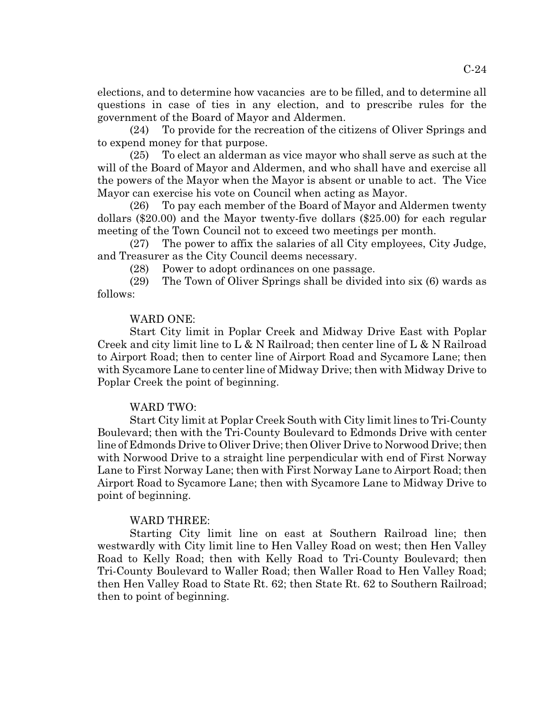elections, and to determine how vacancies are to be filled, and to determine all questions in case of ties in any election, and to prescribe rules for the government of the Board of Mayor and Aldermen.

(24) To provide for the recreation of the citizens of Oliver Springs and to expend money for that purpose.

(25) To elect an alderman as vice mayor who shall serve as such at the will of the Board of Mayor and Aldermen, and who shall have and exercise all the powers of the Mayor when the Mayor is absent or unable to act. The Vice Mayor can exercise his vote on Council when acting as Mayor.

(26) To pay each member of the Board of Mayor and Aldermen twenty dollars (\$20.00) and the Mayor twenty-five dollars (\$25.00) for each regular meeting of the Town Council not to exceed two meetings per month.

(27) The power to affix the salaries of all City employees, City Judge, and Treasurer as the City Council deems necessary.

(28) Power to adopt ordinances on one passage.

(29) The Town of Oliver Springs shall be divided into six (6) wards as follows:

### WARD ONE:

Start City limit in Poplar Creek and Midway Drive East with Poplar Creek and city limit line to L & N Railroad; then center line of L & N Railroad to Airport Road; then to center line of Airport Road and Sycamore Lane; then with Sycamore Lane to center line of Midway Drive; then with Midway Drive to Poplar Creek the point of beginning.

#### WARD TWO:

Start City limit at Poplar Creek South with City limit lines to Tri-County Boulevard; then with the Tri-County Boulevard to Edmonds Drive with center line of Edmonds Drive to Oliver Drive; then Oliver Drive to Norwood Drive; then with Norwood Drive to a straight line perpendicular with end of First Norway Lane to First Norway Lane; then with First Norway Lane to Airport Road; then Airport Road to Sycamore Lane; then with Sycamore Lane to Midway Drive to point of beginning.

#### WARD THREE:

Starting City limit line on east at Southern Railroad line; then westwardly with City limit line to Hen Valley Road on west; then Hen Valley Road to Kelly Road; then with Kelly Road to Tri-County Boulevard; then Tri-County Boulevard to Waller Road; then Waller Road to Hen Valley Road; then Hen Valley Road to State Rt. 62; then State Rt. 62 to Southern Railroad; then to point of beginning.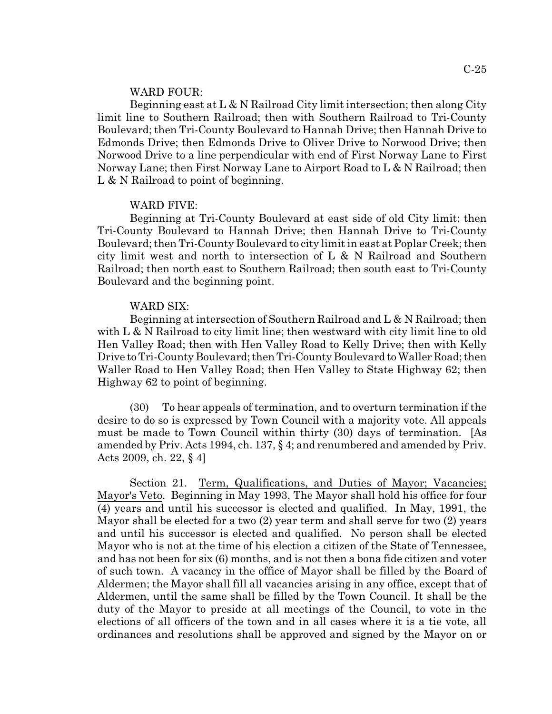#### WARD FOUR:

Beginning east at  $L \& N$  Railroad City limit intersection; then along City limit line to Southern Railroad; then with Southern Railroad to Tri-County Boulevard; then Tri-County Boulevard to Hannah Drive; then Hannah Drive to Edmonds Drive; then Edmonds Drive to Oliver Drive to Norwood Drive; then Norwood Drive to a line perpendicular with end of First Norway Lane to First Norway Lane; then First Norway Lane to Airport Road to L & N Railroad; then L & N Railroad to point of beginning.

#### WARD FIVE:

Beginning at Tri-County Boulevard at east side of old City limit; then Tri-County Boulevard to Hannah Drive; then Hannah Drive to Tri-County Boulevard; then Tri-County Boulevard to city limit in east at Poplar Creek; then city limit west and north to intersection of L & N Railroad and Southern Railroad; then north east to Southern Railroad; then south east to Tri-County Boulevard and the beginning point.

#### WARD SIX:

Beginning at intersection of Southern Railroad and L & N Railroad; then with L & N Railroad to city limit line; then westward with city limit line to old Hen Valley Road; then with Hen Valley Road to Kelly Drive; then with Kelly Drive to Tri-County Boulevard; then Tri-County Boulevard to Waller Road; then Waller Road to Hen Valley Road; then Hen Valley to State Highway 62; then Highway 62 to point of beginning.

(30) To hear appeals of termination, and to overturn termination if the desire to do so is expressed by Town Council with a majority vote. All appeals must be made to Town Council within thirty (30) days of termination. [As amended by Priv. Acts 1994, ch. 137, § 4; and renumbered and amended by Priv. Acts 2009, ch. 22, § 4]

Section 21. Term, Qualifications, and Duties of Mayor; Vacancies; Mayor's Veto. Beginning in May 1993, The Mayor shall hold his office for four (4) years and until his successor is elected and qualified. In May, 1991, the Mayor shall be elected for a two (2) year term and shall serve for two (2) years and until his successor is elected and qualified. No person shall be elected Mayor who is not at the time of his election a citizen of the State of Tennessee, and has not been for six (6) months, and is not then a bona fide citizen and voter of such town. A vacancy in the office of Mayor shall be filled by the Board of Aldermen; the Mayor shall fill all vacancies arising in any office, except that of Aldermen, until the same shall be filled by the Town Council. It shall be the duty of the Mayor to preside at all meetings of the Council, to vote in the elections of all officers of the town and in all cases where it is a tie vote, all ordinances and resolutions shall be approved and signed by the Mayor on or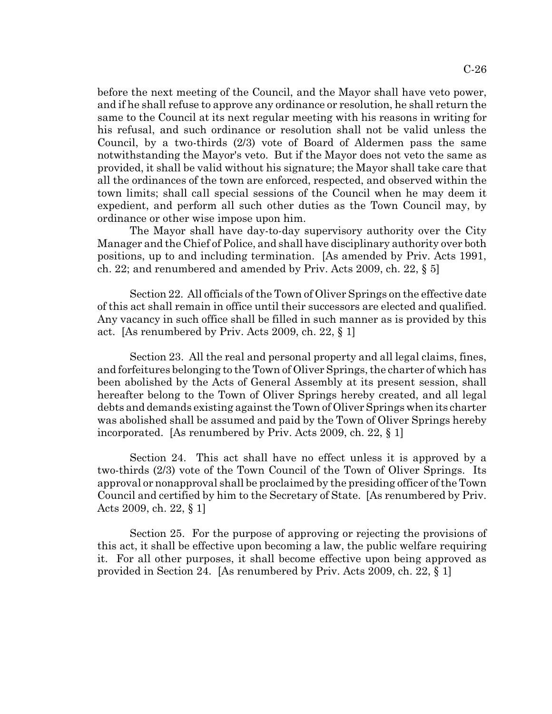before the next meeting of the Council, and the Mayor shall have veto power, and if he shall refuse to approve any ordinance or resolution, he shall return the same to the Council at its next regular meeting with his reasons in writing for his refusal, and such ordinance or resolution shall not be valid unless the Council, by a two-thirds (2/3) vote of Board of Aldermen pass the same notwithstanding the Mayor's veto. But if the Mayor does not veto the same as provided, it shall be valid without his signature; the Mayor shall take care that all the ordinances of the town are enforced, respected, and observed within the town limits; shall call special sessions of the Council when he may deem it expedient, and perform all such other duties as the Town Council may, by ordinance or other wise impose upon him.

The Mayor shall have day-to-day supervisory authority over the City Manager and the Chief of Police, and shall have disciplinary authority over both positions, up to and including termination. [As amended by Priv. Acts 1991, ch. 22; and renumbered and amended by Priv. Acts 2009, ch. 22,  $\S$  5]

Section 22. All officials of the Town of Oliver Springs on the effective date of this act shall remain in office until their successors are elected and qualified. Any vacancy in such office shall be filled in such manner as is provided by this act. [As renumbered by Priv. Acts 2009, ch. 22, § 1]

Section 23. All the real and personal property and all legal claims, fines, and forfeitures belonging to the Town of Oliver Springs, the charter of which has been abolished by the Acts of General Assembly at its present session, shall hereafter belong to the Town of Oliver Springs hereby created, and all legal debts and demands existing against the Town of Oliver Springs when its charter was abolished shall be assumed and paid by the Town of Oliver Springs hereby incorporated. [As renumbered by Priv. Acts 2009, ch. 22, § 1]

Section 24. This act shall have no effect unless it is approved by a two-thirds (2/3) vote of the Town Council of the Town of Oliver Springs. Its approval or nonapproval shall be proclaimed by the presiding officer of the Town Council and certified by him to the Secretary of State. [As renumbered by Priv. Acts 2009, ch. 22, § 1]

Section 25. For the purpose of approving or rejecting the provisions of this act, it shall be effective upon becoming a law, the public welfare requiring it. For all other purposes, it shall become effective upon being approved as provided in Section 24. [As renumbered by Priv. Acts 2009, ch. 22, § 1]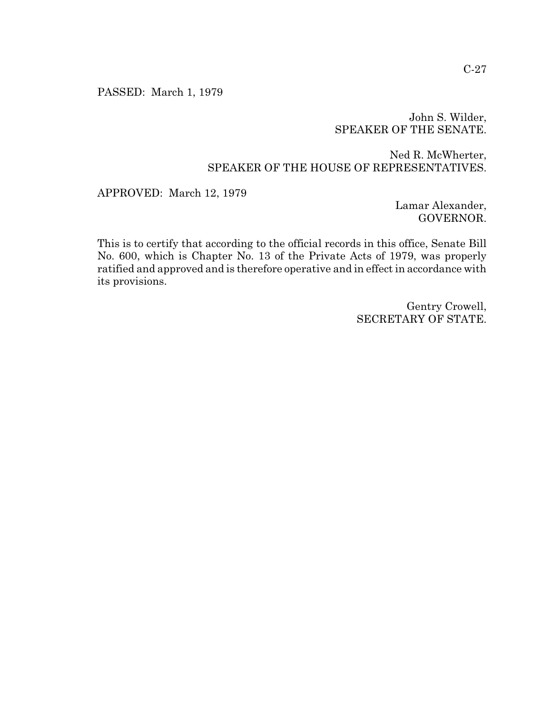PASSED: March 1, 1979

# John S. Wilder, SPEAKER OF THE SENATE.

# Ned R. McWherter, SPEAKER OF THE HOUSE OF REPRESENTATIVES.

APPROVED: March 12, 1979

Lamar Alexander, GOVERNOR.

This is to certify that according to the official records in this office, Senate Bill No. 600, which is Chapter No. 13 of the Private Acts of 1979, was properly ratified and approved and is therefore operative and in effect in accordance with its provisions.

> Gentry Crowell, SECRETARY OF STATE.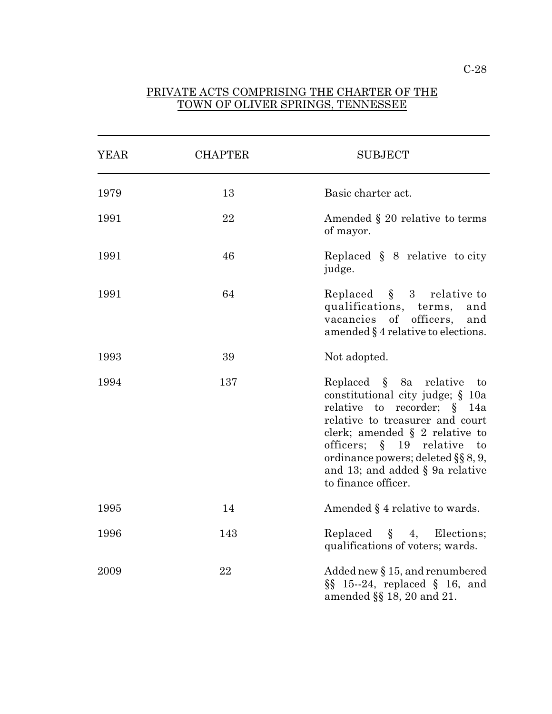## PRIVATE ACTS COMPRISING THE CHARTER OF THE TOWN OF OLIVER SPRINGS, TENNESSEE

l

| <b>YEAR</b> | <b>CHAPTER</b> | <b>SUBJECT</b>                                                                                                                                                                                                                                                                                                               |
|-------------|----------------|------------------------------------------------------------------------------------------------------------------------------------------------------------------------------------------------------------------------------------------------------------------------------------------------------------------------------|
| 1979        | 13             | Basic charter act.                                                                                                                                                                                                                                                                                                           |
| 1991        | 22             | Amended § 20 relative to terms<br>of mayor.                                                                                                                                                                                                                                                                                  |
| 1991        | 46             | Replaced $\S$ 8 relative to city<br>judge.                                                                                                                                                                                                                                                                                   |
| 1991        | 64             | Replaced $\S$ 3 relative to<br>qualifications, terms,<br>and<br>vacancies of officers,<br>and<br>amended $\S$ 4 relative to elections.                                                                                                                                                                                       |
| 1993        | 39             | Not adopted.                                                                                                                                                                                                                                                                                                                 |
| 1994        | 137            | Replaced $\S$ 8a relative to<br>constitutional city judge; § 10a<br>relative to recorder; § 14a<br>relative to treasurer and court<br>clerk; amended $\S$ 2 relative to<br>officers; $\S$ 19 relative<br>$\mathbf{t}$<br>ordinance powers; deleted $\S$ § 8, 9,<br>and 13; and added $\S$ 9a relative<br>to finance officer. |
| 1995        | 14             | Amended § 4 relative to wards.                                                                                                                                                                                                                                                                                               |
| 1996        | 143            | Replaced $\S$ 4, Elections;<br>qualifications of voters; wards.                                                                                                                                                                                                                                                              |
| 2009        | 22             | Added new $\S 15$ , and renumbered<br>$\S\$ 15--24, replaced $\S$ 16, and<br>amended §§ 18, 20 and 21.                                                                                                                                                                                                                       |